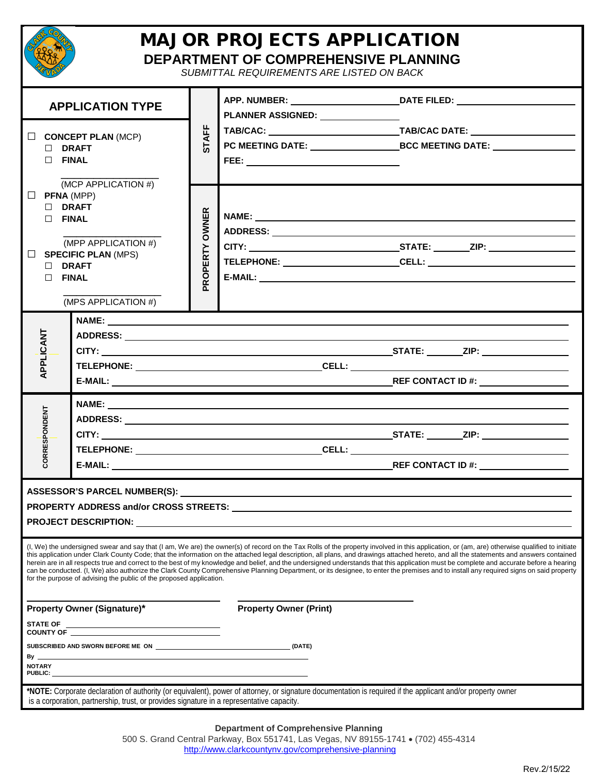| <b>MAJOR PROJECTS APPLICATION</b><br>DEPARTMENT OF COMPREHENSIVE PLANNING<br>SUBMITTAL REQUIREMENTS ARE LISTED ON BACK                                                               |                                                                                           |                                |                                                                                                                                                                                                                                                                                                                                                                                                                                                                                                                                                                                                                                                                                                                                                                               |                                                                                                                                                                                                                                                                                                                              |  |  |  |  |  |  |  |
|--------------------------------------------------------------------------------------------------------------------------------------------------------------------------------------|-------------------------------------------------------------------------------------------|--------------------------------|-------------------------------------------------------------------------------------------------------------------------------------------------------------------------------------------------------------------------------------------------------------------------------------------------------------------------------------------------------------------------------------------------------------------------------------------------------------------------------------------------------------------------------------------------------------------------------------------------------------------------------------------------------------------------------------------------------------------------------------------------------------------------------|------------------------------------------------------------------------------------------------------------------------------------------------------------------------------------------------------------------------------------------------------------------------------------------------------------------------------|--|--|--|--|--|--|--|
| <b>APPLICATION TYPE</b>                                                                                                                                                              |                                                                                           |                                |                                                                                                                                                                                                                                                                                                                                                                                                                                                                                                                                                                                                                                                                                                                                                                               |                                                                                                                                                                                                                                                                                                                              |  |  |  |  |  |  |  |
| $\Box$ CONCEPT PLAN (MCP)<br>$\Box$ DRAFT<br>$\Box$ FINAL                                                                                                                            |                                                                                           | <b>STAFF</b>                   |                                                                                                                                                                                                                                                                                                                                                                                                                                                                                                                                                                                                                                                                                                                                                                               |                                                                                                                                                                                                                                                                                                                              |  |  |  |  |  |  |  |
| (MCP APPLICATION #)<br>$\Box$ PFNA (MPP)<br>$\Box$ DRAFT<br>$\Box$ FINAL<br>(MPP APPLICATION #)<br>$\Box$ SPECIFIC PLAN (MPS)<br>$\Box$ DRAFT<br>$\Box$ FINAL<br>(MPS APPLICATION #) |                                                                                           | <b>OWNER</b><br><b>ROPERTY</b> | E-MAIL: E-MAIL: And the state of the state of the state of the state of the state of the state of the state of the state of the state of the state of the state of the state of the state of the state of the state of the sta                                                                                                                                                                                                                                                                                                                                                                                                                                                                                                                                                |                                                                                                                                                                                                                                                                                                                              |  |  |  |  |  |  |  |
| APPLICANT                                                                                                                                                                            |                                                                                           |                                | <u> 1989 - Johann Stoff, amerikansk politiker (* 1908)</u>                                                                                                                                                                                                                                                                                                                                                                                                                                                                                                                                                                                                                                                                                                                    |                                                                                                                                                                                                                                                                                                                              |  |  |  |  |  |  |  |
| CORRESPONDENT                                                                                                                                                                        |                                                                                           |                                |                                                                                                                                                                                                                                                                                                                                                                                                                                                                                                                                                                                                                                                                                                                                                                               | <u>CELL: Expansion of the contract of the contract of the contract of the contract of the contract of the contract of the contract of the contract of the contract of the contract of the contract of the contract of the contra</u><br>$REF$ CONTACT ID #: $\_\_\_\_\_\_\_\_\_\_\_\_\_\_\_\_\_\_\_\_\_\_\_\_\_\_\_\_\_\_\_$ |  |  |  |  |  |  |  |
|                                                                                                                                                                                      |                                                                                           |                                |                                                                                                                                                                                                                                                                                                                                                                                                                                                                                                                                                                                                                                                                                                                                                                               |                                                                                                                                                                                                                                                                                                                              |  |  |  |  |  |  |  |
|                                                                                                                                                                                      | for the purpose of advising the public of the proposed application.                       |                                | (I, We) the undersigned swear and say that (I am, We are) the owner(s) of record on the Tax Rolls of the property involved in this application, or (am, are) otherwise qualified to initiate<br>this application under Clark County Code; that the information on the attached legal description, all plans, and drawings attached hereto, and all the statements and answers contained<br>herein are in all respects true and correct to the best of my knowledge and belief, and the undersigned understands that this application must be complete and accurate before a hearing<br>can be conducted. (I, We) also authorize the Clark County Comprehensive Planning Department, or its designee, to enter the premises and to install any required signs on said property |                                                                                                                                                                                                                                                                                                                              |  |  |  |  |  |  |  |
| <b>Property Owner (Signature)*</b>                                                                                                                                                   |                                                                                           | <b>Property Owner (Print)</b>  |                                                                                                                                                                                                                                                                                                                                                                                                                                                                                                                                                                                                                                                                                                                                                                               |                                                                                                                                                                                                                                                                                                                              |  |  |  |  |  |  |  |
| <b>STATE OF</b><br><u> 1989 - Johann Barnett, fransk politiker (d. 1989)</u><br>SUBSCRIBED AND SWORN BEFORE ME ON (DATE)                                                             |                                                                                           |                                |                                                                                                                                                                                                                                                                                                                                                                                                                                                                                                                                                                                                                                                                                                                                                                               |                                                                                                                                                                                                                                                                                                                              |  |  |  |  |  |  |  |
| By ___<br><b>NOTARY</b>                                                                                                                                                              |                                                                                           |                                |                                                                                                                                                                                                                                                                                                                                                                                                                                                                                                                                                                                                                                                                                                                                                                               |                                                                                                                                                                                                                                                                                                                              |  |  |  |  |  |  |  |
|                                                                                                                                                                                      | is a corporation, partnership, trust, or provides signature in a representative capacity. |                                | *NOTE: Corporate declaration of authority (or equivalent), power of attorney, or signature documentation is required if the applicant and/or property owner                                                                                                                                                                                                                                                                                                                                                                                                                                                                                                                                                                                                                   |                                                                                                                                                                                                                                                                                                                              |  |  |  |  |  |  |  |

## **Department of Comprehensive Planning**

500 S. Grand Central Parkway, Box 551741, Las Vegas, NV 89155-1741 • (702) 455-4314 <http://www.clarkcountynv.gov/comprehensive-planning>